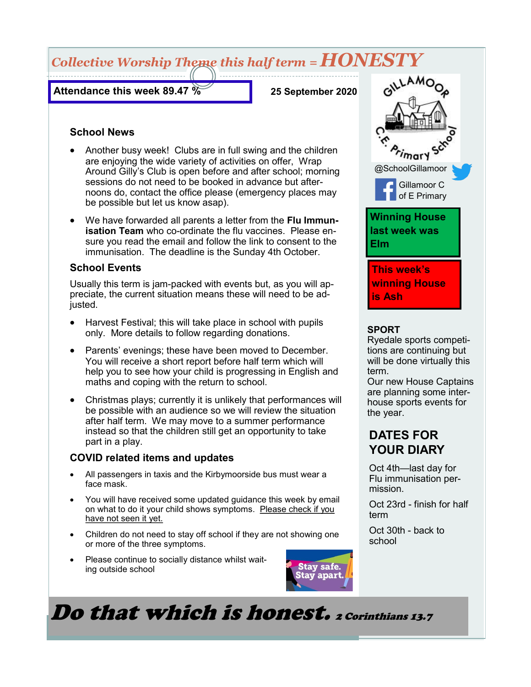# *Collective Worship Theme this half term = HONESTY*

**Attendance this week 89.47 %**

**25 September 2020**

#### **School News**

- Another busy week! Clubs are in full swing and the children are enjoying the wide variety of activities on offer, Wrap Around Gilly's Club is open before and after school; morning sessions do not need to be booked in advance but afternoons do, contact the office please (emergency places may be possible but let us know asap).
- We have forwarded all parents a letter from the **Flu Immunisation Team** who co-ordinate the flu vaccines. Please ensure you read the email and follow the link to consent to the immunisation. The deadline is the Sunday 4th October.

#### **School Events**

Usually this term is jam-packed with events but, as you will appreciate, the current situation means these will need to be adjusted.

- Harvest Festival; this will take place in school with pupils only. More details to follow regarding donations.
- Parents' evenings; these have been moved to December. You will receive a short report before half term which will help you to see how your child is progressing in English and maths and coping with the return to school.
- Christmas plays; currently it is unlikely that performances will be possible with an audience so we will review the situation after half term. We may move to a summer performance instead so that the children still get an opportunity to take part in a play.

#### **COVID related items and updates**

- All passengers in taxis and the Kirbymoorside bus must wear a face mask.
- You will have received some updated guidance this week by email on what to do it your child shows symptoms. Please check if you have not seen it yet.
- Children do not need to stay off school if they are not showing one or more of the three symptoms.
- Please continue to socially distance whilst waiting outside school



# Do that which is honest. 2 Corinthians 13.7



#### **SPORT**

Ryedale sports competitions are continuing but will be done virtually this term.

Our new House Captains are planning some interhouse sports events for the year.

## **DATES FOR YOUR DIARY**

Oct 4th—last day for Flu immunisation permission.

Oct 23rd - finish for half term

Oct 30th - back to school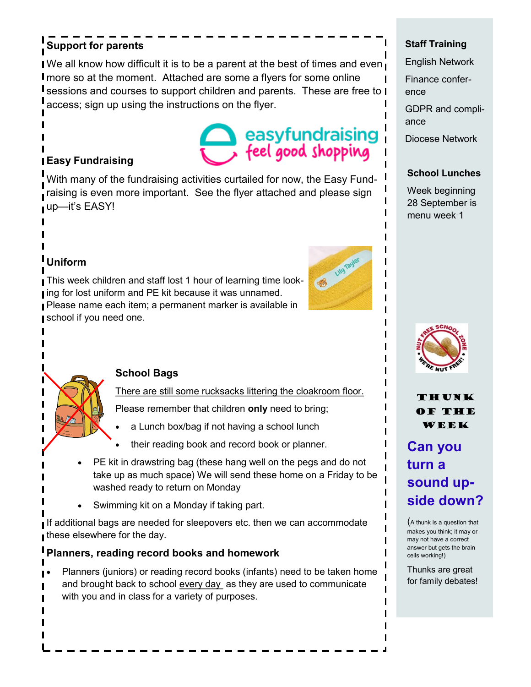## **Support for parents**

I We all know how difficult it is to be a parent at the best of times and even more so at the moment. Attached are some a flyers for some online **I** sessions and courses to support children and parents. These are free to **I** access; sign up using the instructions on the flyer.

# easyfundraising feel good shopping

## **Easy Fundraising**

With many of the fundraising activities curtailed for now, the Easy Fund- $\mathsf I$  raising is even more important. See the flyer attached and please sign up—it's EASY!



## **Uniform**

This week children and staff lost 1 hour of learning time look-I ing for lost uniform and PE kit because it was unnamed. Please name each item; a permanent marker is available in school if you need one.



#### **School Bags**

There are still some rucksacks littering the cloakroom floor.

Please remember that children **only** need to bring;

- a Lunch box/bag if not having a school lunch
- their reading book and record book or planner.
- PE kit in drawstring bag (these hang well on the pegs and do not take up as much space) We will send these home on a Friday to be washed ready to return on Monday
- Swimming kit on a Monday if taking part.

If additional bags are needed for sleepovers etc. then we can accommodate these elsewhere for the day.

### **Planners, reading record books and homework**

• Planners (juniors) or reading record books (infants) need to be taken home and brought back to school every day as they are used to communicate with you and in class for a variety of purposes.

### **Staff Training**

English Network

Finance conference

GDPR and compliance

Diocese Network

#### **School Lunches**

Week beginning 28 September is menu week 1



THUNK of the week

## **Can you turn a sound upside down?**

(A thunk is a question that makes you think; it may or may not have a correct answer but gets the brain cells working!)

Thunks are great for family debates!